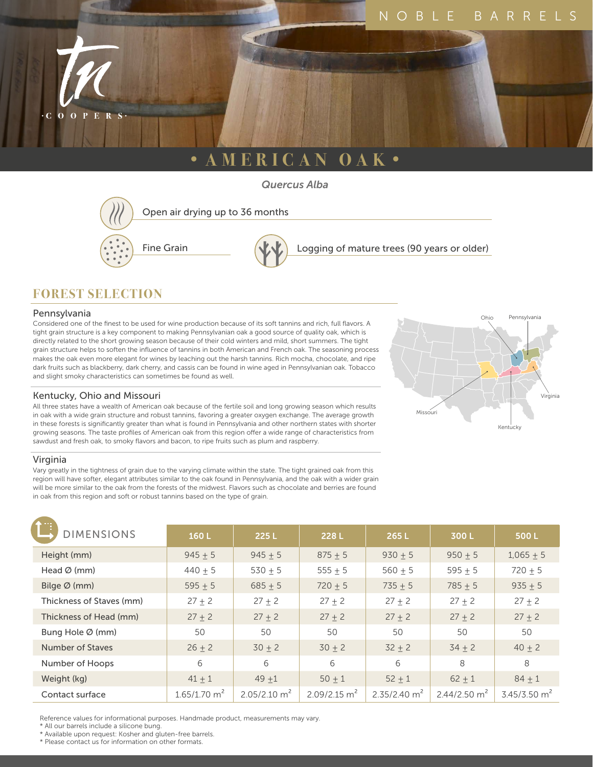

### *Quercus Alba*



Open air drying up to 36 months



Fine Grain  $\left(\sqrt{1-\epsilon}\right)$  Logging of mature trees (90 years or older)

# **FOREST SELECTION**

#### Pennsylvania

Considered one of the finest to be used for wine production because of its soft tannins and rich, full flavors. A tight grain structure is a key component to making Pennsylvanian oak a good source of quality oak, which is directly related to the short growing season because of their cold winters and mild, short summers. The tight grain structure helps to soften the influence of tannins in both American and French oak. The seasoning process makes the oak even more elegant for wines by leaching out the harsh tannins. Rich mocha, chocolate, and ripe dark fruits such as blackberry, dark cherry, and cassis can be found in wine aged in Pennsylvanian oak. Tobacco and slight smoky characteristics can sometimes be found as well.



#### Kentucky, Ohio and Missouri

All three states have a wealth of American oak because of the fertile soil and long growing season which results in oak with a wide grain structure and robust tannins, favoring a greater oxygen exchange. The average growth in these forests is significantly greater than what is found in Pennsylvania and other northern states with shorter growing seasons. The taste profiles of American oak from this region offer a wide range of characteristics from sawdust and fresh oak, to smoky flavors and bacon, to ripe fruits such as plum and raspberry.

#### Virginia

Vary greatly in the tightness of grain due to the varying climate within the state. The tight grained oak from this region will have softer, elegant attributes similar to the oak found in Pennsylvania, and the oak with a wider grain will be more similar to the oak from the forests of the midwest. Flavors such as chocolate and berries are found in oak from this region and soft or robust tannins based on the type of grain.

| <b>DIMENSIONS</b>        | 160L                       | 225 L                      | 228 L                      | 265L           | 300L           | 500L                       |
|--------------------------|----------------------------|----------------------------|----------------------------|----------------|----------------|----------------------------|
| Height (mm)              | $945 + 5$                  | $945 + 5$                  | $875 + 5$                  | $930 + 5$      | $950 + 5$      | $1,065 + 5$                |
| Head $\varnothing$ (mm)  | $440 \pm 5$                | $530 + 5$                  | $555 \pm 5$                | 560 $\pm$ 5    | $595 + 5$      | $720 + 5$                  |
| Bilge $\emptyset$ (mm)   | $595 + 5$                  | $685 + 5$                  | $720 + 5$                  | $735 + 5$      | $785 + 5$      | $935 + 5$                  |
| Thickness of Staves (mm) | $27 + 2$                   | $27 + 2$                   | $27 + 2$                   | $27 + 2$       | $27 + 2$       | $27 + 2$                   |
| Thickness of Head (mm)   | $27 + 2$                   | $27 + 2$                   | $27 + 2$                   | $27 + 2$       | $27 + 2$       | $27 + 2$                   |
| Bung Hole Ø (mm)         | 50                         | 50                         | 50                         | 50             | 50             | 50                         |
| Number of Staves         | $26 \pm 2$                 | $30 + 2$                   | $30 + 2$                   | $32 + 2$       | $34 + 2$       | $40 \pm 2$                 |
| Number of Hoops          | 6                          | 6                          | 6                          | 6              | 8              | 8                          |
| Weight (kg)              | $41 + 1$                   | $49 + 1$                   | $50 + 1$                   | $52 + 1$       | $62 + 1$       | $84 + 1$                   |
| Contact surface          | $1.65/1.70$ m <sup>2</sup> | $2.05/2.10$ m <sup>2</sup> | $2.09/2.15$ m <sup>2</sup> | 2.35/2.40 $m2$ | 2.44/2.50 $m2$ | $3.45/3.50$ m <sup>2</sup> |

Reference values for informational purposes. Handmade product, measurements may vary.

\* All our barrels include a silicone bung.

\* Available upon request: Kosher and gluten-free barrels.

\* Please contact us for information on other formats.